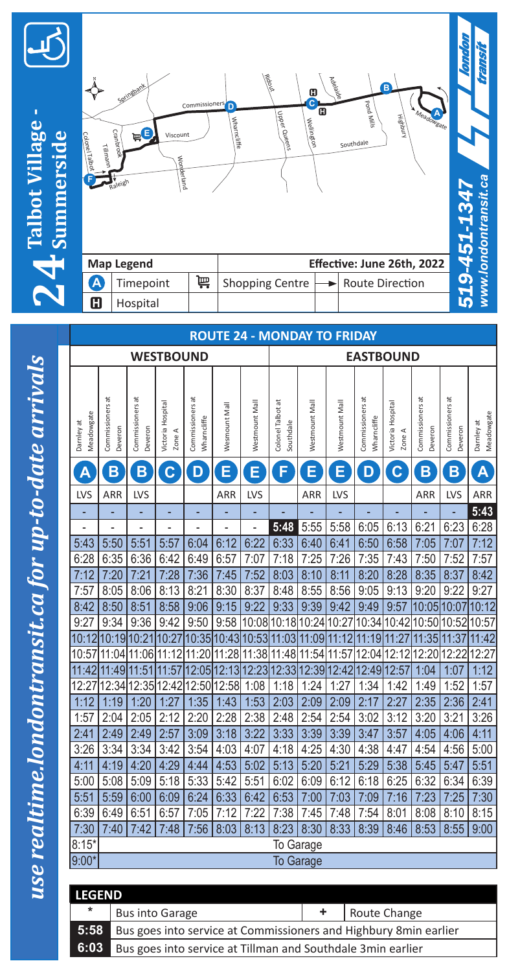



|   | <b>Map Legend</b> |    | Effective: June 26th, 2022                    |  |  |  |  |  |  |
|---|-------------------|----|-----------------------------------------------|--|--|--|--|--|--|
| A | Timepoint         | 一篇 | Shopping Centre $\rightarrow$ Route Direction |  |  |  |  |  |  |
| Œ | Hospital          |    |                                               |  |  |  |  |  |  |

*www.londontransit.ca*

www.londontransit.ca

transit

| <b>ROUTE 24 - MONDAY TO FRIDAY</b> |                                                                                                                           |                             |                             |                                 |                   |                |                                     |                |                |                                 |                             |                             |                             |                         |  |
|------------------------------------|---------------------------------------------------------------------------------------------------------------------------|-----------------------------|-----------------------------|---------------------------------|-------------------|----------------|-------------------------------------|----------------|----------------|---------------------------------|-----------------------------|-----------------------------|-----------------------------|-------------------------|--|
|                                    |                                                                                                                           |                             | <b>WESTBOUND</b>            |                                 |                   |                | <b>EASTBOUND</b>                    |                |                |                                 |                             |                             |                             |                         |  |
| Meadowgate<br>Damley at            | Commissioners at<br>Deveron                                                                                               | Commissioners at<br>Deveron | Victoria Hospital<br>Zone A | Commissioners at<br>Wharncliffe | Wesmount Mall     | Westmount Mall | Colonel Talbot at<br>Southdale      | Westmount Mall | Westmount Mall | Commissioners at<br>Wharncliffe | Victoria Hospital<br>Zone A | Commissioners at<br>Deveron | Commissioners at<br>Jeveron | Meadowgate<br>Damley at |  |
| A                                  | $\mathbf B$                                                                                                               | B                           | $\mathbf C$                 | D                               | E                 | E              | Ø                                   | E              | E              | D                               | $\mathbf C$                 | B                           | B                           | A                       |  |
| LVS                                | ARR                                                                                                                       | LVS                         |                             |                                 | ARR               | LVS            |                                     | ARR            | LVS            |                                 |                             | ARR                         | LVS                         | ARR                     |  |
|                                    |                                                                                                                           |                             |                             |                                 |                   |                |                                     |                |                |                                 |                             |                             |                             | 5:43                    |  |
|                                    | ۰                                                                                                                         |                             |                             |                                 | -                 | -              | 5:48                                | 5:55           | 5:58           | 6:05                            | 6:13                        | 6:21                        | 6:23                        | 6:28                    |  |
| 5:43                               | 5:50                                                                                                                      | 5:51                        | 5:57                        | 6:04                            | 6:12              | 6:22           | 6:33                                | 6:40           | 6:41           | 6:50                            | 6:58                        | 7:05                        | 7:07                        | 7:12                    |  |
| 6:28                               | 6:35                                                                                                                      | 6:36                        | 6:42                        | 6:49                            | 6:57              | 7:07           | 7:18                                | 7:25           | 7:26           | 7:35                            | 7:43                        | 7:50                        | 7:52                        | 7:57                    |  |
| 7:12                               | 7:20                                                                                                                      | 7:21                        | 7:28                        | 7:36                            | 7:45              | 7:52           | 8:03                                | 8:10           | 8:11           | 8:20                            | 8:28                        | 8:35                        | 8:37                        | 8:42                    |  |
| 7:57                               | 8:05                                                                                                                      | 8:06                        | 8:13                        | 8:21                            | 8:30              | 8:37           | 8:48                                | 8:55           | 8:56           | 9:05                            | 9:13                        | 9:20                        | 9:22                        | 9:27                    |  |
| 8:42                               | 8:50                                                                                                                      | 8:51                        | 8:58                        | 9:06                            | 9:15              | 9:22           | 9:33                                | 9:39           | 9:42           | 9:49                            | 9:57                        | 10:05                       | 10:07                       | 10:12                   |  |
| 9:27                               | 9:34                                                                                                                      | 9:36                        | 9:42                        | 9:50                            | 9:58              |                | 10:08 10:18 10:24                   |                | 10:27          | 10:34 10:42                     |                             | 10:50 10:52                 |                             | 10:57                   |  |
| 10:12                              |                                                                                                                           | 10:19 10:21 10:27           |                             |                                 |                   |                | 10:35 10:43 10:53 11:03 11:09 11:12 |                |                | 11:19 11:27                     |                             | 11:35                       | 11:37                       | 11:42                   |  |
| 10:57                              | 11:04                                                                                                                     | 11:06 11:12                 |                             |                                 | 11:20 11:28 11:38 |                | 11:48 11:54                         |                | 11:57          | 12:04 12:12                     |                             | 12:20                       | 12:22                       | 12:27                   |  |
| 11:42                              | 11:49                                                                                                                     | 11:51                       | 11:57                       |                                 | 12:05 12:13       | 12:23          | 12:33                               | 12:39 12:42    |                | 12:49 12:57                     |                             | 1:04                        | 1:07                        | 1:12                    |  |
| 12:27                              | 12:34                                                                                                                     | 12:35                       | 12:42                       | 12:50                           | 12:58             | 1:08           | 1:18                                | 1:24           | 1:27           | 1:34                            | 1:42                        | 1:49                        | 1:52                        | 1:57                    |  |
| 1:12                               | 1:19                                                                                                                      | 1:20                        | 1:27                        | 1:35                            | 1:43              | 1:53           | 2:03                                | 2:09           | 2:09           | 2:17                            | 2:27                        | 2:35                        | 2:36                        | 2:41                    |  |
| 1:57                               | 2:04                                                                                                                      | 2:05                        | 2:12                        | 2:20                            | 2:28              | 2:38           | 2:48                                | 2:54           | 2:54           | 3:02                            | 3:12                        | 3:20                        | 3:21                        | 3:26                    |  |
| 2:41                               | 2:49                                                                                                                      | 2:49                        | 2:57                        | 3:09                            | 3:18              | 3:22           | 3:33                                | 3:39           | 3:39           | 3:47                            | 3:57                        | 4:05                        | 4:06                        | 4:11                    |  |
| 3:26                               | 3:34                                                                                                                      | 3:34                        | 3:42                        | 3:54                            | 4:03              | 4:07           | 4:18                                | 4:25           | 4:30           | 4:38                            | 4:47                        | 4:54                        | 4:56                        | 5:00                    |  |
| 4:11                               | 4:19                                                                                                                      | 4:20                        | 4:29                        | 4:44                            | 4:53              | 5:02           | 5:13                                | 5:20           | 5:21           | 5:29                            | 5:38                        | 5:45                        | 5:47                        | 5:51                    |  |
| 5:00                               | 5:08                                                                                                                      | 5:09                        | 5:18                        | 5:33                            | 5:42              | 5:51           | 6:02                                | 6:09           | 6:12           | 6:18                            | 6:25                        | 6:32                        | 6:34                        | 6:39                    |  |
| 5:51                               | 5:59                                                                                                                      | 6:00                        | 6:09                        | 6:24                            | 6:33              | 6:42           | 6:53                                | 7:00           | 7:03           | 7:09                            | 7:16                        | 7:23                        | 7:25                        | 7:30                    |  |
| 6:39                               | 6:49                                                                                                                      | 6:51                        | 6:57                        | 7:05                            | 7:12              | 7:22           | 7:38                                | 7:45           | 7:48           | 7:54                            | 8:01                        | 8:08                        | 8:10                        | 8:15                    |  |
| 7:30                               | 8:13<br>8:23<br>8:30<br>8:33<br>8:39<br>8:55<br>9:00<br>7:40<br>7:42<br>7:48<br>7:56<br>8:03<br>8:46<br>8:53<br>To Garage |                             |                             |                                 |                   |                |                                     |                |                |                                 |                             |                             |                             |                         |  |
| $8:15*$                            |                                                                                                                           |                             |                             |                                 |                   |                |                                     |                |                |                                 |                             |                             |                             |                         |  |
| $9:00*$                            | <b>To Garage</b>                                                                                                          |                             |                             |                                 |                   |                |                                     |                |                |                                 |                             |                             |                             |                         |  |

| <b>LEGEND</b> |                                                                        |  |              |  |  |  |  |  |  |  |
|---------------|------------------------------------------------------------------------|--|--------------|--|--|--|--|--|--|--|
| $\ast$        | <b>Bus into Garage</b>                                                 |  | Route Change |  |  |  |  |  |  |  |
|               | 5:58 Bus goes into service at Commissioners and Highbury 8 min earlier |  |              |  |  |  |  |  |  |  |
| 6:03          | Bus goes into service at Tillman and Southdale 3min earlier            |  |              |  |  |  |  |  |  |  |

use realtime.londontransit.ca for up-to-date arrivals *use realtime.londontransit.ca for up-to-date arrivals*